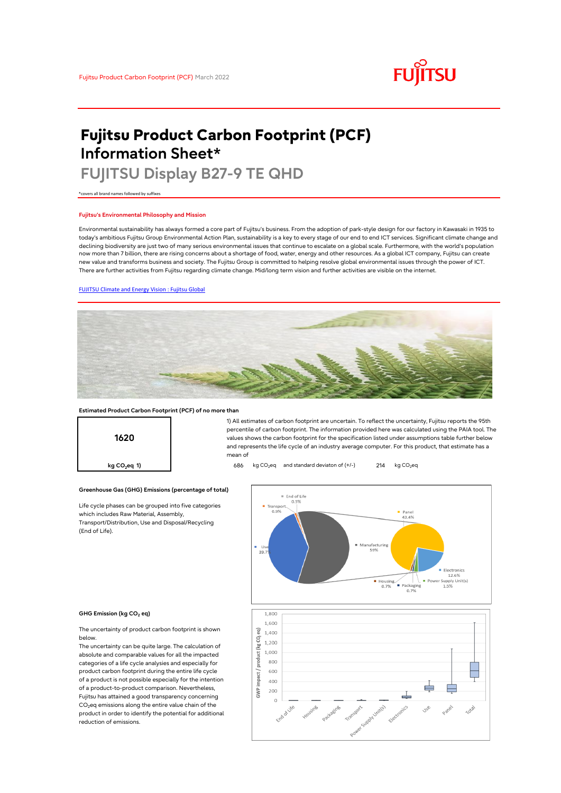# **FUJITSU**

# **Fujitsu Product Carbon Footprint (PCF) Information Sheet\***

# **FUJITSU Display B27-9 TE QHD**

\*covers all brand names followed by suffixes

## **Fujitsu's Environmental Philosophy and Mission**

Environmental sustainability has always formed a core part of Fujitsu's business. From the adoption of park-style design for our factory in Kawasaki in 1935 to today's ambitious Fujitsu Group Environmental Action Plan, sustainability is a key to every stage of our end to end ICT services. Significant climate change and declining biodiversity are just two of many serious environmental issues that continue to escalate on a global scale. Furthermore, with the world's population now more than 7 billion, there are rising concerns about a shortage of food, water, energy and other resources. As a global ICT company, Fujitsu can create new value and transforms business and society. The Fujitsu Group is committed to helping resolve global environmental issues through the power of ICT. There are further activities from Fujitsu regarding climate change. Mid/long term vision and further activities are visible on the internet.

# [FUJITSU Climate and Energy Vision : Fujitsu Global](https://www.fujitsu.com/global/about/environment/climate-energy-vision/)



mean of

### **Estimated Product Carbon Footprint (PCF) of no more than**



**Greenhouse Gas (GHG) Emissions (percentage of total)**

Life cycle phases can be grouped into five categories which includes Raw Material, Assembly, Transport/Distribution, Use and Disposal/Recycling (End of Life).



1) All estimates of carbon footprint are uncertain. To reflect the uncertainty, Fujitsu reports the 95th percentile of carbon footprint. The information provided here was calculated using the PAIA tool. The values shows the carbon footprint for the specification listed under assumptions table further below and represents the life cycle of an industry average computer. For this product, that estimate has a

#### **GHG Emission (kg CO<sup>2</sup> eq)**

The uncertainty of product carbon footprint is shown below.

The uncertainty can be quite large. The calculation of absolute and comparable values for all the impacted categories of a life cycle analysies and especially for product carbon footprint during the entire life cycle of a product is not possible especially for the intention of a product-to-product comparison. Nevertheless, Fujitsu has attained a good transparency concerning  $CO<sub>2</sub>$ eq emissions along the entire value chain of the product in order to identify the potential for additional reduction of emissions.